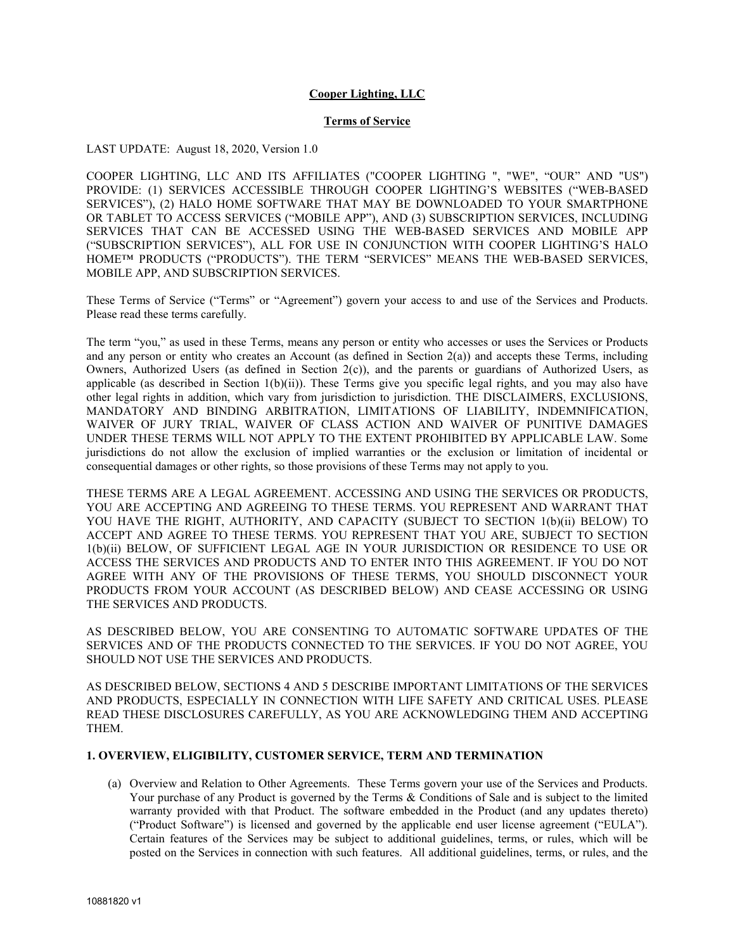## **Cooper Lighting, LLC**

### **Terms of Service**

#### LAST UPDATE: August 18, 2020, Version 1.0

COOPER LIGHTING, LLC AND ITS AFFILIATES ("COOPER LIGHTING ", "WE", "OUR" AND "US") PROVIDE: (1) SERVICES ACCESSIBLE THROUGH COOPER LIGHTING'S WEBSITES ("WEB-BASED SERVICES"), (2) HALO HOME SOFTWARE THAT MAY BE DOWNLOADED TO YOUR SMARTPHONE OR TABLET TO ACCESS SERVICES ("MOBILE APP"), AND (3) SUBSCRIPTION SERVICES, INCLUDING SERVICES THAT CAN BE ACCESSED USING THE WEB-BASED SERVICES AND MOBILE APP ("SUBSCRIPTION SERVICES"), ALL FOR USE IN CONJUNCTION WITH COOPER LIGHTING'S HALO HOME™ PRODUCTS ("PRODUCTS"). THE TERM "SERVICES" MEANS THE WEB-BASED SERVICES, MOBILE APP, AND SUBSCRIPTION SERVICES.

These Terms of Service ("Terms" or "Agreement") govern your access to and use of the Services and Products. Please read these terms carefully.

The term "you," as used in these Terms, means any person or entity who accesses or uses the Services or Products and any person or entity who creates an Account (as defined in Section  $2(a)$ ) and accepts these Terms, including Owners, Authorized Users (as defined in Section 2(c)), and the parents or guardians of Authorized Users, as applicable (as described in Section  $1(b)(ii)$ ). These Terms give you specific legal rights, and you may also have other legal rights in addition, which vary from jurisdiction to jurisdiction. THE DISCLAIMERS, EXCLUSIONS, MANDATORY AND BINDING ARBITRATION, LIMITATIONS OF LIABILITY, INDEMNIFICATION, WAIVER OF JURY TRIAL, WAIVER OF CLASS ACTION AND WAIVER OF PUNITIVE DAMAGES UNDER THESE TERMS WILL NOT APPLY TO THE EXTENT PROHIBITED BY APPLICABLE LAW. Some jurisdictions do not allow the exclusion of implied warranties or the exclusion or limitation of incidental or consequential damages or other rights, so those provisions of these Terms may not apply to you.

THESE TERMS ARE A LEGAL AGREEMENT. ACCESSING AND USING THE SERVICES OR PRODUCTS, YOU ARE ACCEPTING AND AGREEING TO THESE TERMS. YOU REPRESENT AND WARRANT THAT YOU HAVE THE RIGHT, AUTHORITY, AND CAPACITY (SUBJECT TO SECTION 1(b)(ii) BELOW) TO ACCEPT AND AGREE TO THESE TERMS. YOU REPRESENT THAT YOU ARE, SUBJECT TO SECTION 1(b)(ii) BELOW, OF SUFFICIENT LEGAL AGE IN YOUR JURISDICTION OR RESIDENCE TO USE OR ACCESS THE SERVICES AND PRODUCTS AND TO ENTER INTO THIS AGREEMENT. IF YOU DO NOT AGREE WITH ANY OF THE PROVISIONS OF THESE TERMS, YOU SHOULD DISCONNECT YOUR PRODUCTS FROM YOUR ACCOUNT (AS DESCRIBED BELOW) AND CEASE ACCESSING OR USING THE SERVICES AND PRODUCTS.

AS DESCRIBED BELOW, YOU ARE CONSENTING TO AUTOMATIC SOFTWARE UPDATES OF THE SERVICES AND OF THE PRODUCTS CONNECTED TO THE SERVICES. IF YOU DO NOT AGREE, YOU SHOULD NOT USE THE SERVICES AND PRODUCTS.

AS DESCRIBED BELOW, SECTIONS 4 AND 5 DESCRIBE IMPORTANT LIMITATIONS OF THE SERVICES AND PRODUCTS, ESPECIALLY IN CONNECTION WITH LIFE SAFETY AND CRITICAL USES. PLEASE READ THESE DISCLOSURES CAREFULLY, AS YOU ARE ACKNOWLEDGING THEM AND ACCEPTING THEM.

#### **1. OVERVIEW, ELIGIBILITY, CUSTOMER SERVICE, TERM AND TERMINATION**

(a) Overview and Relation to Other Agreements. These Terms govern your use of the Services and Products. Your purchase of any Product is governed by the Terms & Conditions of Sale and is subject to the limited warranty provided with that Product. The software embedded in the Product (and any updates thereto) ("Product Software") is licensed and governed by the applicable end user license agreement ("EULA"). Certain features of the Services may be subject to additional guidelines, terms, or rules, which will be posted on the Services in connection with such features. All additional guidelines, terms, or rules, and the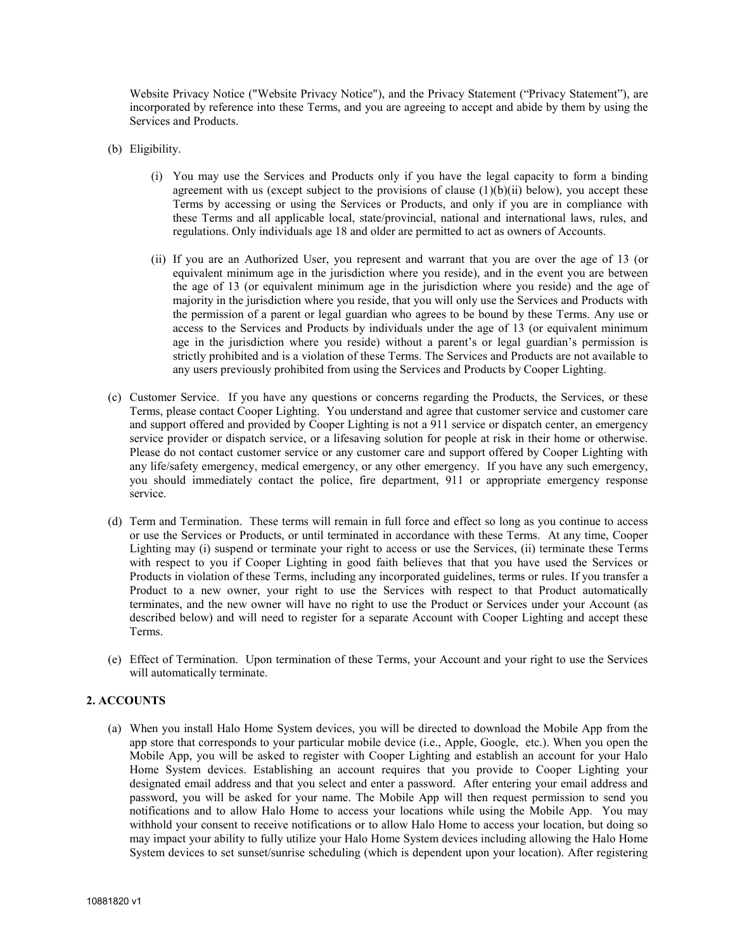Website Privacy Notice ("Website Privacy Notice"), and the Privacy Statement ("Privacy Statement"), are incorporated by reference into these Terms, and you are agreeing to accept and abide by them by using the Services and Products.

- (b) Eligibility.
	- (i) You may use the Services and Products only if you have the legal capacity to form a binding agreement with us (except subject to the provisions of clause  $(1)(b)(ii)$  below), you accept these Terms by accessing or using the Services or Products, and only if you are in compliance with these Terms and all applicable local, state/provincial, national and international laws, rules, and regulations. Only individuals age 18 and older are permitted to act as owners of Accounts.
	- (ii) If you are an Authorized User, you represent and warrant that you are over the age of 13 (or equivalent minimum age in the jurisdiction where you reside), and in the event you are between the age of 13 (or equivalent minimum age in the jurisdiction where you reside) and the age of majority in the jurisdiction where you reside, that you will only use the Services and Products with the permission of a parent or legal guardian who agrees to be bound by these Terms. Any use or access to the Services and Products by individuals under the age of 13 (or equivalent minimum age in the jurisdiction where you reside) without a parent's or legal guardian's permission is strictly prohibited and is a violation of these Terms. The Services and Products are not available to any users previously prohibited from using the Services and Products by Cooper Lighting.
- (c) Customer Service. If you have any questions or concerns regarding the Products, the Services, or these Terms, please contact Cooper Lighting. You understand and agree that customer service and customer care and support offered and provided by Cooper Lighting is not a 911 service or dispatch center, an emergency service provider or dispatch service, or a lifesaving solution for people at risk in their home or otherwise. Please do not contact customer service or any customer care and support offered by Cooper Lighting with any life/safety emergency, medical emergency, or any other emergency. If you have any such emergency, you should immediately contact the police, fire department, 911 or appropriate emergency response service.
- (d) Term and Termination. These terms will remain in full force and effect so long as you continue to access or use the Services or Products, or until terminated in accordance with these Terms. At any time, Cooper Lighting may (i) suspend or terminate your right to access or use the Services, (ii) terminate these Terms with respect to you if Cooper Lighting in good faith believes that that you have used the Services or Products in violation of these Terms, including any incorporated guidelines, terms or rules. If you transfer a Product to a new owner, your right to use the Services with respect to that Product automatically terminates, and the new owner will have no right to use the Product or Services under your Account (as described below) and will need to register for a separate Account with Cooper Lighting and accept these Terms.
- (e) Effect of Termination. Upon termination of these Terms, your Account and your right to use the Services will automatically terminate.

## **2. ACCOUNTS**

(a) When you install Halo Home System devices, you will be directed to download the Mobile App from the app store that corresponds to your particular mobile device (i.e., Apple, Google, etc.). When you open the Mobile App, you will be asked to register with Cooper Lighting and establish an account for your Halo Home System devices. Establishing an account requires that you provide to Cooper Lighting your designated email address and that you select and enter a password. After entering your email address and password, you will be asked for your name. The Mobile App will then request permission to send you notifications and to allow Halo Home to access your locations while using the Mobile App. You may withhold your consent to receive notifications or to allow Halo Home to access your location, but doing so may impact your ability to fully utilize your Halo Home System devices including allowing the Halo Home System devices to set sunset/sunrise scheduling (which is dependent upon your location). After registering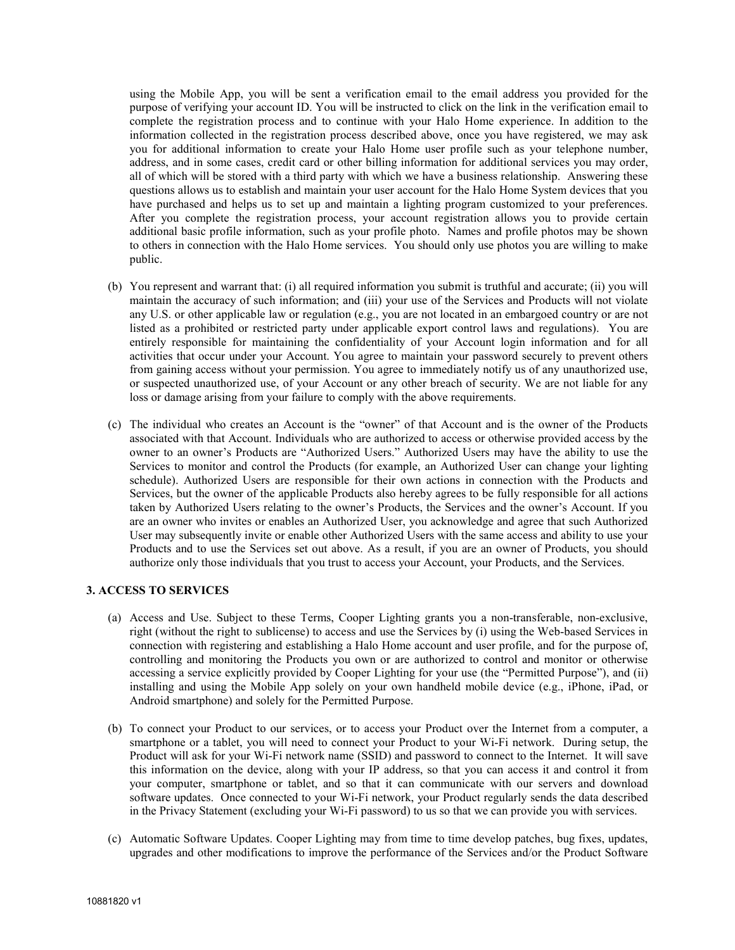using the Mobile App, you will be sent a verification email to the email address you provided for the purpose of verifying your account ID. You will be instructed to click on the link in the verification email to complete the registration process and to continue with your Halo Home experience. In addition to the information collected in the registration process described above, once you have registered, we may ask you for additional information to create your Halo Home user profile such as your telephone number, address, and in some cases, credit card or other billing information for additional services you may order, all of which will be stored with a third party with which we have a business relationship. Answering these questions allows us to establish and maintain your user account for the Halo Home System devices that you have purchased and helps us to set up and maintain a lighting program customized to your preferences. After you complete the registration process, your account registration allows you to provide certain additional basic profile information, such as your profile photo. Names and profile photos may be shown to others in connection with the Halo Home services. You should only use photos you are willing to make public.

- (b) You represent and warrant that: (i) all required information you submit is truthful and accurate; (ii) you will maintain the accuracy of such information; and (iii) your use of the Services and Products will not violate any U.S. or other applicable law or regulation (e.g., you are not located in an embargoed country or are not listed as a prohibited or restricted party under applicable export control laws and regulations). You are entirely responsible for maintaining the confidentiality of your Account login information and for all activities that occur under your Account. You agree to maintain your password securely to prevent others from gaining access without your permission. You agree to immediately notify us of any unauthorized use, or suspected unauthorized use, of your Account or any other breach of security. We are not liable for any loss or damage arising from your failure to comply with the above requirements.
- (c) The individual who creates an Account is the "owner" of that Account and is the owner of the Products associated with that Account. Individuals who are authorized to access or otherwise provided access by the owner to an owner's Products are "Authorized Users." Authorized Users may have the ability to use the Services to monitor and control the Products (for example, an Authorized User can change your lighting schedule). Authorized Users are responsible for their own actions in connection with the Products and Services, but the owner of the applicable Products also hereby agrees to be fully responsible for all actions taken by Authorized Users relating to the owner's Products, the Services and the owner's Account. If you are an owner who invites or enables an Authorized User, you acknowledge and agree that such Authorized User may subsequently invite or enable other Authorized Users with the same access and ability to use your Products and to use the Services set out above. As a result, if you are an owner of Products, you should authorize only those individuals that you trust to access your Account, your Products, and the Services.

# **3. ACCESS TO SERVICES**

- (a) Access and Use. Subject to these Terms, Cooper Lighting grants you a non-transferable, non-exclusive, right (without the right to sublicense) to access and use the Services by (i) using the Web-based Services in connection with registering and establishing a Halo Home account and user profile, and for the purpose of, controlling and monitoring the Products you own or are authorized to control and monitor or otherwise accessing a service explicitly provided by Cooper Lighting for your use (the "Permitted Purpose"), and (ii) installing and using the Mobile App solely on your own handheld mobile device (e.g., iPhone, iPad, or Android smartphone) and solely for the Permitted Purpose.
- (b) To connect your Product to our services, or to access your Product over the Internet from a computer, a smartphone or a tablet, you will need to connect your Product to your Wi-Fi network. During setup, the Product will ask for your Wi-Fi network name (SSID) and password to connect to the Internet. It will save this information on the device, along with your IP address, so that you can access it and control it from your computer, smartphone or tablet, and so that it can communicate with our servers and download software updates. Once connected to your Wi-Fi network, your Product regularly sends the data described in the Privacy Statement (excluding your Wi-Fi password) to us so that we can provide you with services.
- (c) Automatic Software Updates. Cooper Lighting may from time to time develop patches, bug fixes, updates, upgrades and other modifications to improve the performance of the Services and/or the Product Software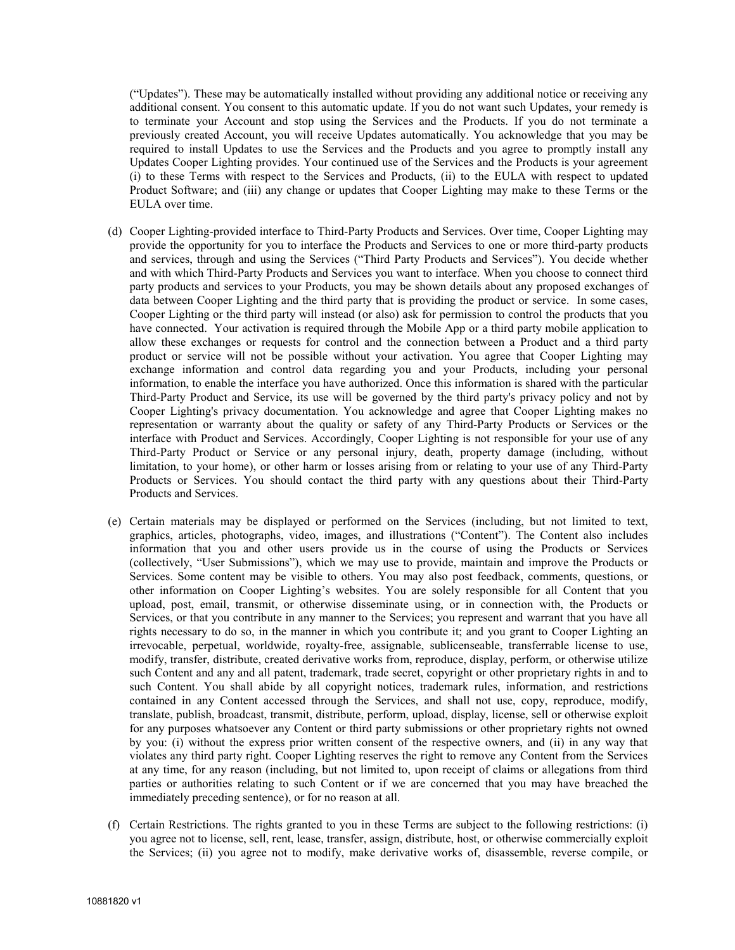("Updates"). These may be automatically installed without providing any additional notice or receiving any additional consent. You consent to this automatic update. If you do not want such Updates, your remedy is to terminate your Account and stop using the Services and the Products. If you do not terminate a previously created Account, you will receive Updates automatically. You acknowledge that you may be required to install Updates to use the Services and the Products and you agree to promptly install any Updates Cooper Lighting provides. Your continued use of the Services and the Products is your agreement (i) to these Terms with respect to the Services and Products, (ii) to the EULA with respect to updated Product Software; and (iii) any change or updates that Cooper Lighting may make to these Terms or the EULA over time.

- (d) Cooper Lighting-provided interface to Third-Party Products and Services. Over time, Cooper Lighting may provide the opportunity for you to interface the Products and Services to one or more third-party products and services, through and using the Services ("Third Party Products and Services"). You decide whether and with which Third-Party Products and Services you want to interface. When you choose to connect third party products and services to your Products, you may be shown details about any proposed exchanges of data between Cooper Lighting and the third party that is providing the product or service. In some cases, Cooper Lighting or the third party will instead (or also) ask for permission to control the products that you have connected. Your activation is required through the Mobile App or a third party mobile application to allow these exchanges or requests for control and the connection between a Product and a third party product or service will not be possible without your activation. You agree that Cooper Lighting may exchange information and control data regarding you and your Products, including your personal information, to enable the interface you have authorized. Once this information is shared with the particular Third-Party Product and Service, its use will be governed by the third party's privacy policy and not by Cooper Lighting's privacy documentation. You acknowledge and agree that Cooper Lighting makes no representation or warranty about the quality or safety of any Third-Party Products or Services or the interface with Product and Services. Accordingly, Cooper Lighting is not responsible for your use of any Third-Party Product or Service or any personal injury, death, property damage (including, without limitation, to your home), or other harm or losses arising from or relating to your use of any Third-Party Products or Services. You should contact the third party with any questions about their Third-Party Products and Services.
- (e) Certain materials may be displayed or performed on the Services (including, but not limited to text, graphics, articles, photographs, video, images, and illustrations ("Content"). The Content also includes information that you and other users provide us in the course of using the Products or Services (collectively, "User Submissions"), which we may use to provide, maintain and improve the Products or Services. Some content may be visible to others. You may also post feedback, comments, questions, or other information on Cooper Lighting's websites. You are solely responsible for all Content that you upload, post, email, transmit, or otherwise disseminate using, or in connection with, the Products or Services, or that you contribute in any manner to the Services; you represent and warrant that you have all rights necessary to do so, in the manner in which you contribute it; and you grant to Cooper Lighting an irrevocable, perpetual, worldwide, royalty-free, assignable, sublicenseable, transferrable license to use, modify, transfer, distribute, created derivative works from, reproduce, display, perform, or otherwise utilize such Content and any and all patent, trademark, trade secret, copyright or other proprietary rights in and to such Content. You shall abide by all copyright notices, trademark rules, information, and restrictions contained in any Content accessed through the Services, and shall not use, copy, reproduce, modify, translate, publish, broadcast, transmit, distribute, perform, upload, display, license, sell or otherwise exploit for any purposes whatsoever any Content or third party submissions or other proprietary rights not owned by you: (i) without the express prior written consent of the respective owners, and (ii) in any way that violates any third party right. Cooper Lighting reserves the right to remove any Content from the Services at any time, for any reason (including, but not limited to, upon receipt of claims or allegations from third parties or authorities relating to such Content or if we are concerned that you may have breached the immediately preceding sentence), or for no reason at all.
- (f) Certain Restrictions. The rights granted to you in these Terms are subject to the following restrictions: (i) you agree not to license, sell, rent, lease, transfer, assign, distribute, host, or otherwise commercially exploit the Services; (ii) you agree not to modify, make derivative works of, disassemble, reverse compile, or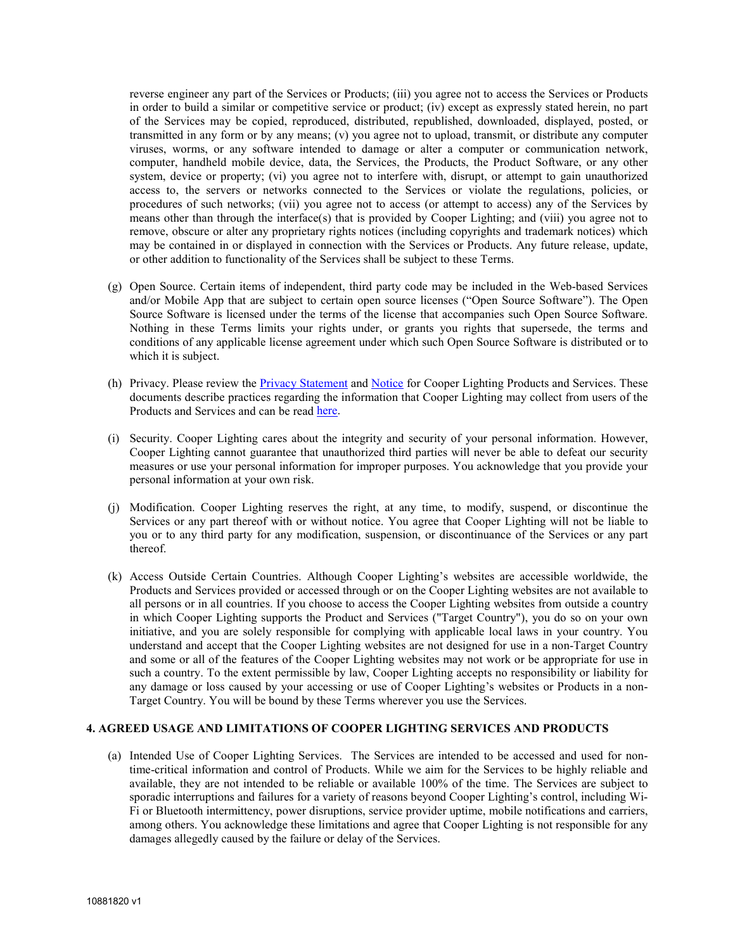reverse engineer any part of the Services or Products; (iii) you agree not to access the Services or Products in order to build a similar or competitive service or product; (iv) except as expressly stated herein, no part of the Services may be copied, reproduced, distributed, republished, downloaded, displayed, posted, or transmitted in any form or by any means; (v) you agree not to upload, transmit, or distribute any computer viruses, worms, or any software intended to damage or alter a computer or communication network, computer, handheld mobile device, data, the Services, the Products, the Product Software, or any other system, device or property; (vi) you agree not to interfere with, disrupt, or attempt to gain unauthorized access to, the servers or networks connected to the Services or violate the regulations, policies, or procedures of such networks; (vii) you agree not to access (or attempt to access) any of the Services by means other than through the interface(s) that is provided by Cooper Lighting; and (viii) you agree not to remove, obscure or alter any proprietary rights notices (including copyrights and trademark notices) which may be contained in or displayed in connection with the Services or Products. Any future release, update, or other addition to functionality of the Services shall be subject to these Terms.

- (g) Open Source. Certain items of independent, third party code may be included in the Web-based Services and/or Mobile App that are subject to certain open source licenses ("Open Source Software"). The Open Source Software is licensed under the terms of the license that accompanies such Open Source Software. Nothing in these Terms limits your rights under, or grants you rights that supersede, the terms and conditions of any applicable license agreement under which such Open Source Software is distributed or to which it is subject.
- (h) Privacy. Please review the [Privacy Statement](https://www.cooperlighting.com/content/dam/cooper-lighting/resources/legal-page-assets/legal-docs/halohomeprivacypolicy.pdf) and [Notice](https://www.cooperlighting.com/privacy-notice.html) for Cooper Lighting Products and Services. These documents describe practices regarding the information that Cooper Lighting may collect from users of the Products and Services and can be read [here.](https://www.cooperlighting.com/resources/legal.html)
- (i) Security. Cooper Lighting cares about the integrity and security of your personal information. However, Cooper Lighting cannot guarantee that unauthorized third parties will never be able to defeat our security measures or use your personal information for improper purposes. You acknowledge that you provide your personal information at your own risk.
- (j) Modification. Cooper Lighting reserves the right, at any time, to modify, suspend, or discontinue the Services or any part thereof with or without notice. You agree that Cooper Lighting will not be liable to you or to any third party for any modification, suspension, or discontinuance of the Services or any part thereof.
- (k) Access Outside Certain Countries. Although Cooper Lighting's websites are accessible worldwide, the Products and Services provided or accessed through or on the Cooper Lighting websites are not available to all persons or in all countries. If you choose to access the Cooper Lighting websites from outside a country in which Cooper Lighting supports the Product and Services ("Target Country"), you do so on your own initiative, and you are solely responsible for complying with applicable local laws in your country. You understand and accept that the Cooper Lighting websites are not designed for use in a non-Target Country and some or all of the features of the Cooper Lighting websites may not work or be appropriate for use in such a country. To the extent permissible by law, Cooper Lighting accepts no responsibility or liability for any damage or loss caused by your accessing or use of Cooper Lighting's websites or Products in a non-Target Country. You will be bound by these Terms wherever you use the Services.

### **4. AGREED USAGE AND LIMITATIONS OF COOPER LIGHTING SERVICES AND PRODUCTS**

(a) Intended Use of Cooper Lighting Services. The Services are intended to be accessed and used for nontime-critical information and control of Products. While we aim for the Services to be highly reliable and available, they are not intended to be reliable or available 100% of the time. The Services are subject to sporadic interruptions and failures for a variety of reasons beyond Cooper Lighting's control, including Wi-Fi or Bluetooth intermittency, power disruptions, service provider uptime, mobile notifications and carriers, among others. You acknowledge these limitations and agree that Cooper Lighting is not responsible for any damages allegedly caused by the failure or delay of the Services.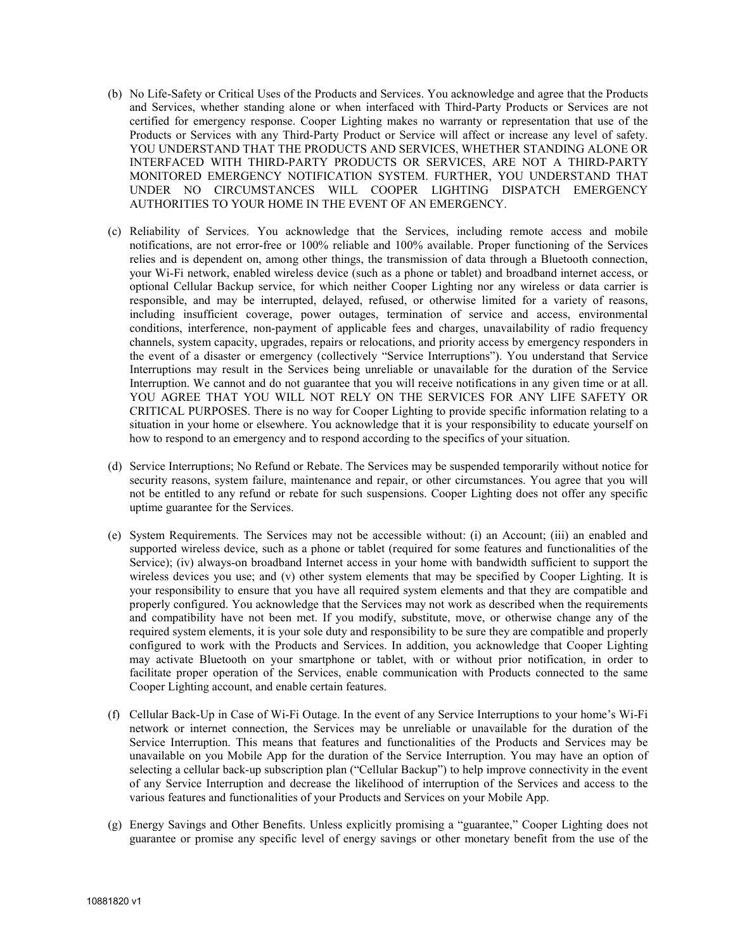- (b) No Life-Safety or Critical Uses of the Products and Services. You acknowledge and agree that the Products and Services, whether standing alone or when interfaced with Third-Party Products or Services are not certified for emergency response. Cooper Lighting makes no warranty or representation that use of the Products or Services with any Third-Party Product or Service will affect or increase any level of safety. YOU UNDERSTAND THAT THE PRODUCTS AND SERVICES, WHETHER STANDING ALONE OR INTERFACED WITH THIRD-PARTY PRODUCTS OR SERVICES, ARE NOT A THIRD-PARTY MONITORED EMERGENCY NOTIFICATION SYSTEM. FURTHER, YOU UNDERSTAND THAT UNDER NO CIRCUMSTANCES WILL COOPER LIGHTING DISPATCH EMERGENCY AUTHORITIES TO YOUR HOME IN THE EVENT OF AN EMERGENCY.
- (c) Reliability of Services. You acknowledge that the Services, including remote access and mobile notifications, are not error-free or 100% reliable and 100% available. Proper functioning of the Services relies and is dependent on, among other things, the transmission of data through a Bluetooth connection, your Wi-Fi network, enabled wireless device (such as a phone or tablet) and broadband internet access, or optional Cellular Backup service, for which neither Cooper Lighting nor any wireless or data carrier is responsible, and may be interrupted, delayed, refused, or otherwise limited for a variety of reasons, including insufficient coverage, power outages, termination of service and access, environmental conditions, interference, non-payment of applicable fees and charges, unavailability of radio frequency channels, system capacity, upgrades, repairs or relocations, and priority access by emergency responders in the event of a disaster or emergency (collectively "Service Interruptions"). You understand that Service Interruptions may result in the Services being unreliable or unavailable for the duration of the Service Interruption. We cannot and do not guarantee that you will receive notifications in any given time or at all. YOU AGREE THAT YOU WILL NOT RELY ON THE SERVICES FOR ANY LIFE SAFETY OR CRITICAL PURPOSES. There is no way for Cooper Lighting to provide specific information relating to a situation in your home or elsewhere. You acknowledge that it is your responsibility to educate yourself on how to respond to an emergency and to respond according to the specifics of your situation.
- (d) Service Interruptions; No Refund or Rebate. The Services may be suspended temporarily without notice for security reasons, system failure, maintenance and repair, or other circumstances. You agree that you will not be entitled to any refund or rebate for such suspensions. Cooper Lighting does not offer any specific uptime guarantee for the Services.
- (e) System Requirements. The Services may not be accessible without: (i) an Account; (iii) an enabled and supported wireless device, such as a phone or tablet (required for some features and functionalities of the Service); (iv) always-on broadband Internet access in your home with bandwidth sufficient to support the wireless devices you use; and (v) other system elements that may be specified by Cooper Lighting. It is your responsibility to ensure that you have all required system elements and that they are compatible and properly configured. You acknowledge that the Services may not work as described when the requirements and compatibility have not been met. If you modify, substitute, move, or otherwise change any of the required system elements, it is your sole duty and responsibility to be sure they are compatible and properly configured to work with the Products and Services. In addition, you acknowledge that Cooper Lighting may activate Bluetooth on your smartphone or tablet, with or without prior notification, in order to facilitate proper operation of the Services, enable communication with Products connected to the same Cooper Lighting account, and enable certain features.
- (f) Cellular Back-Up in Case of Wi-Fi Outage. In the event of any Service Interruptions to your home's Wi-Fi network or internet connection, the Services may be unreliable or unavailable for the duration of the Service Interruption. This means that features and functionalities of the Products and Services may be unavailable on you Mobile App for the duration of the Service Interruption. You may have an option of selecting a cellular back-up subscription plan ("Cellular Backup") to help improve connectivity in the event of any Service Interruption and decrease the likelihood of interruption of the Services and access to the various features and functionalities of your Products and Services on your Mobile App.
- (g) Energy Savings and Other Benefits. Unless explicitly promising a "guarantee," Cooper Lighting does not guarantee or promise any specific level of energy savings or other monetary benefit from the use of the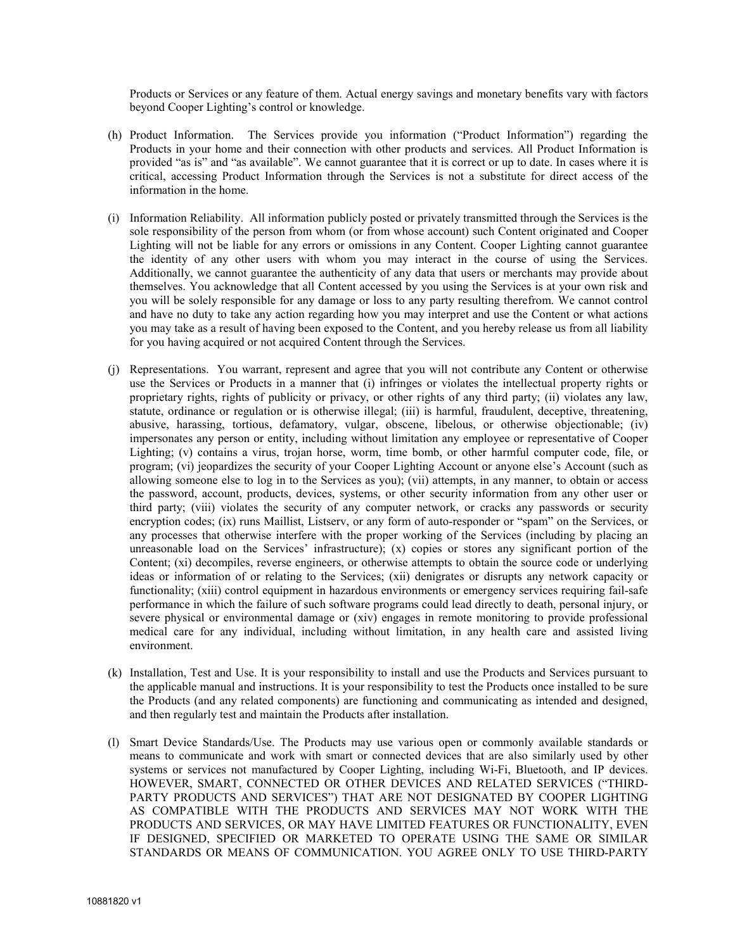Products or Services or any feature of them. Actual energy savings and monetary benefits vary with factors beyond Cooper Lighting's control or knowledge.

- (h) Product Information. The Services provide you information ("Product Information") regarding the Products in your home and their connection with other products and services. All Product Information is provided "as is" and "as available". We cannot guarantee that it is correct or up to date. In cases where it is critical, accessing Product Information through the Services is not a substitute for direct access of the information in the home.
- (i) Information Reliability. All information publicly posted or privately transmitted through the Services is the sole responsibility of the person from whom (or from whose account) such Content originated and Cooper Lighting will not be liable for any errors or omissions in any Content. Cooper Lighting cannot guarantee the identity of any other users with whom you may interact in the course of using the Services. Additionally, we cannot guarantee the authenticity of any data that users or merchants may provide about themselves. You acknowledge that all Content accessed by you using the Services is at your own risk and you will be solely responsible for any damage or loss to any party resulting therefrom. We cannot control and have no duty to take any action regarding how you may interpret and use the Content or what actions you may take as a result of having been exposed to the Content, and you hereby release us from all liability for you having acquired or not acquired Content through the Services.
- (j) Representations. You warrant, represent and agree that you will not contribute any Content or otherwise use the Services or Products in a manner that (i) infringes or violates the intellectual property rights or proprietary rights, rights of publicity or privacy, or other rights of any third party; (ii) violates any law, statute, ordinance or regulation or is otherwise illegal; (iii) is harmful, fraudulent, deceptive, threatening, abusive, harassing, tortious, defamatory, vulgar, obscene, libelous, or otherwise objectionable; (iv) impersonates any person or entity, including without limitation any employee or representative of Cooper Lighting; (v) contains a virus, trojan horse, worm, time bomb, or other harmful computer code, file, or program; (vi) jeopardizes the security of your Cooper Lighting Account or anyone else's Account (such as allowing someone else to log in to the Services as you); (vii) attempts, in any manner, to obtain or access the password, account, products, devices, systems, or other security information from any other user or third party; (viii) violates the security of any computer network, or cracks any passwords or security encryption codes; (ix) runs Maillist, Listserv, or any form of auto-responder or "spam" on the Services, or any processes that otherwise interfere with the proper working of the Services (including by placing an unreasonable load on the Services' infrastructure); (x) copies or stores any significant portion of the Content; (xi) decompiles, reverse engineers, or otherwise attempts to obtain the source code or underlying ideas or information of or relating to the Services; (xii) denigrates or disrupts any network capacity or functionality; (xiii) control equipment in hazardous environments or emergency services requiring fail-safe performance in which the failure of such software programs could lead directly to death, personal injury, or severe physical or environmental damage or (xiv) engages in remote monitoring to provide professional medical care for any individual, including without limitation, in any health care and assisted living environment.
- (k) Installation, Test and Use. It is your responsibility to install and use the Products and Services pursuant to the applicable manual and instructions. It is your responsibility to test the Products once installed to be sure the Products (and any related components) are functioning and communicating as intended and designed, and then regularly test and maintain the Products after installation.
- (l) Smart Device Standards/Use. The Products may use various open or commonly available standards or means to communicate and work with smart or connected devices that are also similarly used by other systems or services not manufactured by Cooper Lighting, including Wi-Fi, Bluetooth, and IP devices. HOWEVER, SMART, CONNECTED OR OTHER DEVICES AND RELATED SERVICES ("THIRD-PARTY PRODUCTS AND SERVICES") THAT ARE NOT DESIGNATED BY COOPER LIGHTING AS COMPATIBLE WITH THE PRODUCTS AND SERVICES MAY NOT WORK WITH THE PRODUCTS AND SERVICES, OR MAY HAVE LIMITED FEATURES OR FUNCTIONALITY, EVEN IF DESIGNED, SPECIFIED OR MARKETED TO OPERATE USING THE SAME OR SIMILAR STANDARDS OR MEANS OF COMMUNICATION. YOU AGREE ONLY TO USE THIRD-PARTY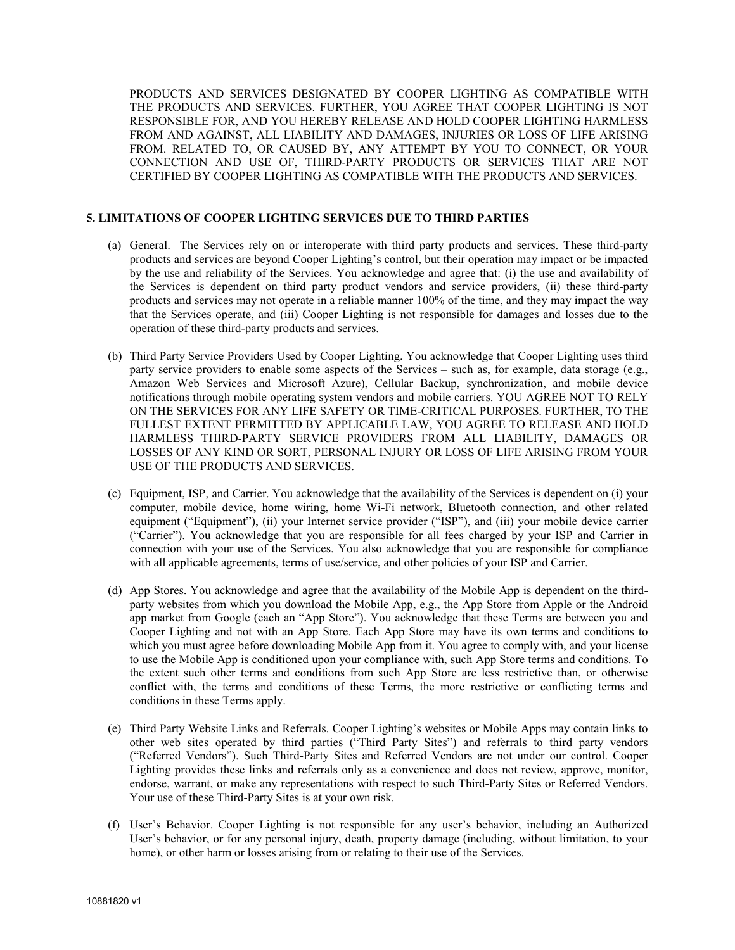PRODUCTS AND SERVICES DESIGNATED BY COOPER LIGHTING AS COMPATIBLE WITH THE PRODUCTS AND SERVICES. FURTHER, YOU AGREE THAT COOPER LIGHTING IS NOT RESPONSIBLE FOR, AND YOU HEREBY RELEASE AND HOLD COOPER LIGHTING HARMLESS FROM AND AGAINST, ALL LIABILITY AND DAMAGES, INJURIES OR LOSS OF LIFE ARISING FROM. RELATED TO, OR CAUSED BY, ANY ATTEMPT BY YOU TO CONNECT, OR YOUR CONNECTION AND USE OF, THIRD-PARTY PRODUCTS OR SERVICES THAT ARE NOT CERTIFIED BY COOPER LIGHTING AS COMPATIBLE WITH THE PRODUCTS AND SERVICES.

# **5. LIMITATIONS OF COOPER LIGHTING SERVICES DUE TO THIRD PARTIES**

- (a) General. The Services rely on or interoperate with third party products and services. These third-party products and services are beyond Cooper Lighting's control, but their operation may impact or be impacted by the use and reliability of the Services. You acknowledge and agree that: (i) the use and availability of the Services is dependent on third party product vendors and service providers, (ii) these third-party products and services may not operate in a reliable manner 100% of the time, and they may impact the way that the Services operate, and (iii) Cooper Lighting is not responsible for damages and losses due to the operation of these third-party products and services.
- (b) Third Party Service Providers Used by Cooper Lighting. You acknowledge that Cooper Lighting uses third party service providers to enable some aspects of the Services – such as, for example, data storage (e.g., Amazon Web Services and Microsoft Azure), Cellular Backup, synchronization, and mobile device notifications through mobile operating system vendors and mobile carriers. YOU AGREE NOT TO RELY ON THE SERVICES FOR ANY LIFE SAFETY OR TIME-CRITICAL PURPOSES. FURTHER, TO THE FULLEST EXTENT PERMITTED BY APPLICABLE LAW, YOU AGREE TO RELEASE AND HOLD HARMLESS THIRD-PARTY SERVICE PROVIDERS FROM ALL LIABILITY, DAMAGES OR LOSSES OF ANY KIND OR SORT, PERSONAL INJURY OR LOSS OF LIFE ARISING FROM YOUR USE OF THE PRODUCTS AND SERVICES.
- (c) Equipment, ISP, and Carrier. You acknowledge that the availability of the Services is dependent on (i) your computer, mobile device, home wiring, home Wi-Fi network, Bluetooth connection, and other related equipment ("Equipment"), (ii) your Internet service provider ("ISP"), and (iii) your mobile device carrier ("Carrier"). You acknowledge that you are responsible for all fees charged by your ISP and Carrier in connection with your use of the Services. You also acknowledge that you are responsible for compliance with all applicable agreements, terms of use/service, and other policies of your ISP and Carrier.
- (d) App Stores. You acknowledge and agree that the availability of the Mobile App is dependent on the thirdparty websites from which you download the Mobile App, e.g., the App Store from Apple or the Android app market from Google (each an "App Store"). You acknowledge that these Terms are between you and Cooper Lighting and not with an App Store. Each App Store may have its own terms and conditions to which you must agree before downloading Mobile App from it. You agree to comply with, and your license to use the Mobile App is conditioned upon your compliance with, such App Store terms and conditions. To the extent such other terms and conditions from such App Store are less restrictive than, or otherwise conflict with, the terms and conditions of these Terms, the more restrictive or conflicting terms and conditions in these Terms apply.
- (e) Third Party Website Links and Referrals. Cooper Lighting's websites or Mobile Apps may contain links to other web sites operated by third parties ("Third Party Sites") and referrals to third party vendors ("Referred Vendors"). Such Third-Party Sites and Referred Vendors are not under our control. Cooper Lighting provides these links and referrals only as a convenience and does not review, approve, monitor, endorse, warrant, or make any representations with respect to such Third-Party Sites or Referred Vendors. Your use of these Third-Party Sites is at your own risk.
- (f) User's Behavior. Cooper Lighting is not responsible for any user's behavior, including an Authorized User's behavior, or for any personal injury, death, property damage (including, without limitation, to your home), or other harm or losses arising from or relating to their use of the Services.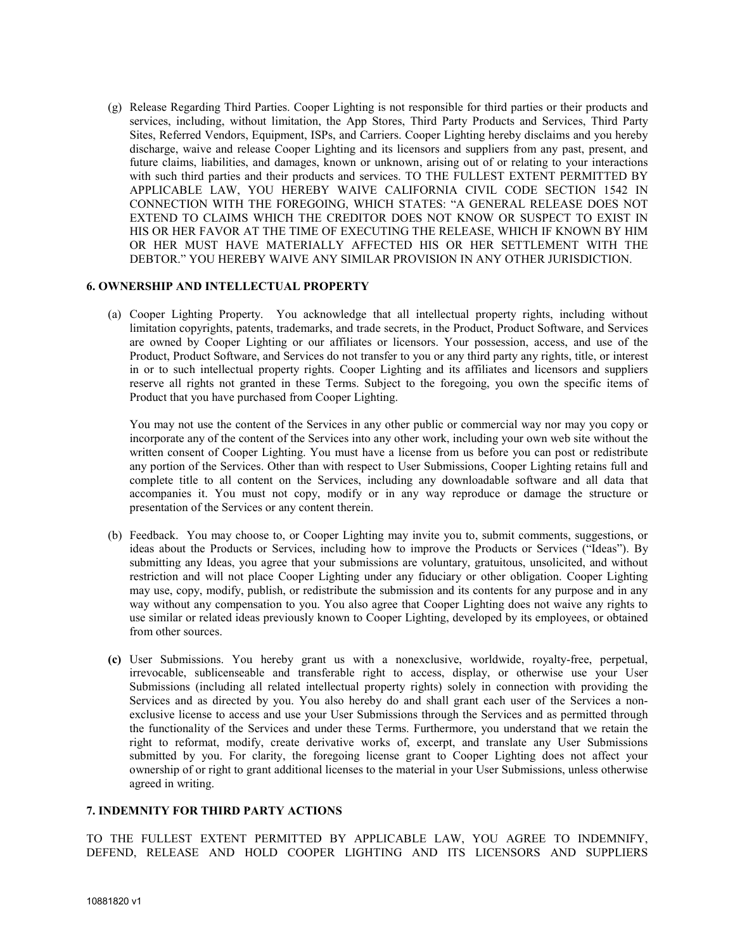(g) Release Regarding Third Parties. Cooper Lighting is not responsible for third parties or their products and services, including, without limitation, the App Stores, Third Party Products and Services, Third Party Sites, Referred Vendors, Equipment, ISPs, and Carriers. Cooper Lighting hereby disclaims and you hereby discharge, waive and release Cooper Lighting and its licensors and suppliers from any past, present, and future claims, liabilities, and damages, known or unknown, arising out of or relating to your interactions with such third parties and their products and services. TO THE FULLEST EXTENT PERMITTED BY APPLICABLE LAW, YOU HEREBY WAIVE CALIFORNIA CIVIL CODE SECTION 1542 IN CONNECTION WITH THE FOREGOING, WHICH STATES: "A GENERAL RELEASE DOES NOT EXTEND TO CLAIMS WHICH THE CREDITOR DOES NOT KNOW OR SUSPECT TO EXIST IN HIS OR HER FAVOR AT THE TIME OF EXECUTING THE RELEASE, WHICH IF KNOWN BY HIM OR HER MUST HAVE MATERIALLY AFFECTED HIS OR HER SETTLEMENT WITH THE DEBTOR." YOU HEREBY WAIVE ANY SIMILAR PROVISION IN ANY OTHER JURISDICTION.

### **6. OWNERSHIP AND INTELLECTUAL PROPERTY**

(a) Cooper Lighting Property. You acknowledge that all intellectual property rights, including without limitation copyrights, patents, trademarks, and trade secrets, in the Product, Product Software, and Services are owned by Cooper Lighting or our affiliates or licensors. Your possession, access, and use of the Product, Product Software, and Services do not transfer to you or any third party any rights, title, or interest in or to such intellectual property rights. Cooper Lighting and its affiliates and licensors and suppliers reserve all rights not granted in these Terms. Subject to the foregoing, you own the specific items of Product that you have purchased from Cooper Lighting.

You may not use the content of the Services in any other public or commercial way nor may you copy or incorporate any of the content of the Services into any other work, including your own web site without the written consent of Cooper Lighting. You must have a license from us before you can post or redistribute any portion of the Services. Other than with respect to User Submissions, Cooper Lighting retains full and complete title to all content on the Services, including any downloadable software and all data that accompanies it. You must not copy, modify or in any way reproduce or damage the structure or presentation of the Services or any content therein.

- (b) Feedback. You may choose to, or Cooper Lighting may invite you to, submit comments, suggestions, or ideas about the Products or Services, including how to improve the Products or Services ("Ideas"). By submitting any Ideas, you agree that your submissions are voluntary, gratuitous, unsolicited, and without restriction and will not place Cooper Lighting under any fiduciary or other obligation. Cooper Lighting may use, copy, modify, publish, or redistribute the submission and its contents for any purpose and in any way without any compensation to you. You also agree that Cooper Lighting does not waive any rights to use similar or related ideas previously known to Cooper Lighting, developed by its employees, or obtained from other sources.
- **(c)** User Submissions. You hereby grant us with a nonexclusive, worldwide, royalty-free, perpetual, irrevocable, sublicenseable and transferable right to access, display, or otherwise use your User Submissions (including all related intellectual property rights) solely in connection with providing the Services and as directed by you. You also hereby do and shall grant each user of the Services a nonexclusive license to access and use your User Submissions through the Services and as permitted through the functionality of the Services and under these Terms. Furthermore, you understand that we retain the right to reformat, modify, create derivative works of, excerpt, and translate any User Submissions submitted by you. For clarity, the foregoing license grant to Cooper Lighting does not affect your ownership of or right to grant additional licenses to the material in your User Submissions, unless otherwise agreed in writing.

### **7. INDEMNITY FOR THIRD PARTY ACTIONS**

TO THE FULLEST EXTENT PERMITTED BY APPLICABLE LAW, YOU AGREE TO INDEMNIFY, DEFEND, RELEASE AND HOLD COOPER LIGHTING AND ITS LICENSORS AND SUPPLIERS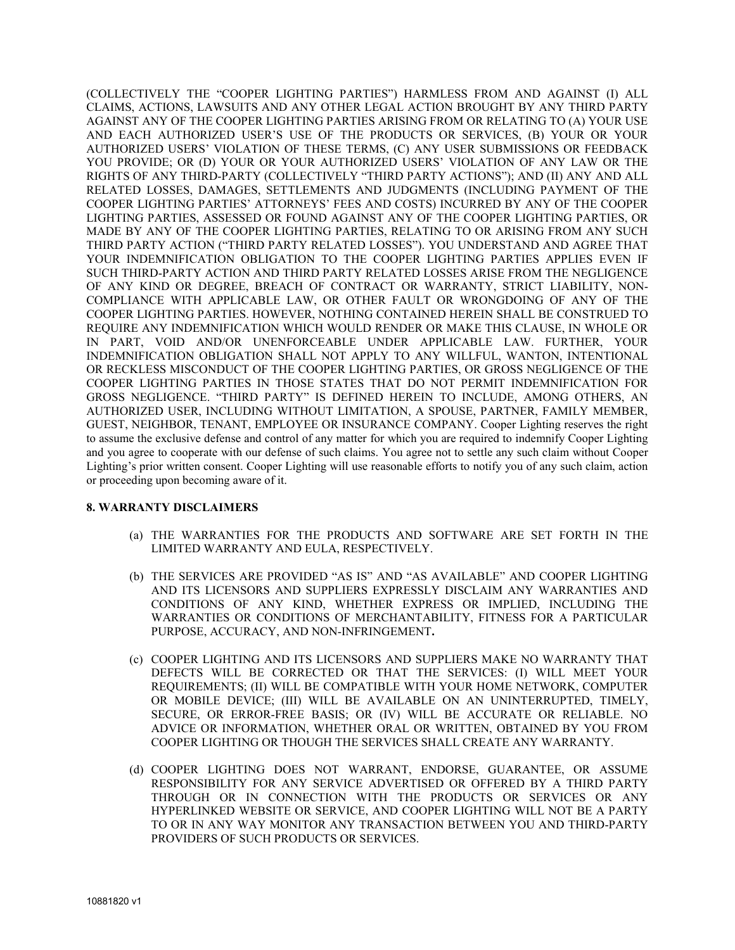(COLLECTIVELY THE "COOPER LIGHTING PARTIES") HARMLESS FROM AND AGAINST (I) ALL CLAIMS, ACTIONS, LAWSUITS AND ANY OTHER LEGAL ACTION BROUGHT BY ANY THIRD PARTY AGAINST ANY OF THE COOPER LIGHTING PARTIES ARISING FROM OR RELATING TO (A) YOUR USE AND EACH AUTHORIZED USER'S USE OF THE PRODUCTS OR SERVICES, (B) YOUR OR YOUR AUTHORIZED USERS' VIOLATION OF THESE TERMS, (C) ANY USER SUBMISSIONS OR FEEDBACK YOU PROVIDE; OR (D) YOUR OR YOUR AUTHORIZED USERS' VIOLATION OF ANY LAW OR THE RIGHTS OF ANY THIRD-PARTY (COLLECTIVELY "THIRD PARTY ACTIONS"); AND (II) ANY AND ALL RELATED LOSSES, DAMAGES, SETTLEMENTS AND JUDGMENTS (INCLUDING PAYMENT OF THE COOPER LIGHTING PARTIES' ATTORNEYS' FEES AND COSTS) INCURRED BY ANY OF THE COOPER LIGHTING PARTIES, ASSESSED OR FOUND AGAINST ANY OF THE COOPER LIGHTING PARTIES, OR MADE BY ANY OF THE COOPER LIGHTING PARTIES, RELATING TO OR ARISING FROM ANY SUCH THIRD PARTY ACTION ("THIRD PARTY RELATED LOSSES"). YOU UNDERSTAND AND AGREE THAT YOUR INDEMNIFICATION OBLIGATION TO THE COOPER LIGHTING PARTIES APPLIES EVEN IF SUCH THIRD-PARTY ACTION AND THIRD PARTY RELATED LOSSES ARISE FROM THE NEGLIGENCE OF ANY KIND OR DEGREE, BREACH OF CONTRACT OR WARRANTY, STRICT LIABILITY, NON-COMPLIANCE WITH APPLICABLE LAW, OR OTHER FAULT OR WRONGDOING OF ANY OF THE COOPER LIGHTING PARTIES. HOWEVER, NOTHING CONTAINED HEREIN SHALL BE CONSTRUED TO REQUIRE ANY INDEMNIFICATION WHICH WOULD RENDER OR MAKE THIS CLAUSE, IN WHOLE OR IN PART, VOID AND/OR UNENFORCEABLE UNDER APPLICABLE LAW. FURTHER, YOUR INDEMNIFICATION OBLIGATION SHALL NOT APPLY TO ANY WILLFUL, WANTON, INTENTIONAL OR RECKLESS MISCONDUCT OF THE COOPER LIGHTING PARTIES, OR GROSS NEGLIGENCE OF THE COOPER LIGHTING PARTIES IN THOSE STATES THAT DO NOT PERMIT INDEMNIFICATION FOR GROSS NEGLIGENCE. "THIRD PARTY" IS DEFINED HEREIN TO INCLUDE, AMONG OTHERS, AN AUTHORIZED USER, INCLUDING WITHOUT LIMITATION, A SPOUSE, PARTNER, FAMILY MEMBER, GUEST, NEIGHBOR, TENANT, EMPLOYEE OR INSURANCE COMPANY. Cooper Lighting reserves the right to assume the exclusive defense and control of any matter for which you are required to indemnify Cooper Lighting and you agree to cooperate with our defense of such claims. You agree not to settle any such claim without Cooper Lighting's prior written consent. Cooper Lighting will use reasonable efforts to notify you of any such claim, action or proceeding upon becoming aware of it.

# **8. WARRANTY DISCLAIMERS**

- (a) THE WARRANTIES FOR THE PRODUCTS AND SOFTWARE ARE SET FORTH IN THE LIMITED WARRANTY AND EULA, RESPECTIVELY.
- (b) THE SERVICES ARE PROVIDED "AS IS" AND "AS AVAILABLE" AND COOPER LIGHTING AND ITS LICENSORS AND SUPPLIERS EXPRESSLY DISCLAIM ANY WARRANTIES AND CONDITIONS OF ANY KIND, WHETHER EXPRESS OR IMPLIED, INCLUDING THE WARRANTIES OR CONDITIONS OF MERCHANTABILITY, FITNESS FOR A PARTICULAR PURPOSE, ACCURACY, AND NON-INFRINGEMENT**.**
- (c) COOPER LIGHTING AND ITS LICENSORS AND SUPPLIERS MAKE NO WARRANTY THAT DEFECTS WILL BE CORRECTED OR THAT THE SERVICES: (I) WILL MEET YOUR REQUIREMENTS; (II) WILL BE COMPATIBLE WITH YOUR HOME NETWORK, COMPUTER OR MOBILE DEVICE; (III) WILL BE AVAILABLE ON AN UNINTERRUPTED, TIMELY, SECURE, OR ERROR-FREE BASIS; OR (IV) WILL BE ACCURATE OR RELIABLE. NO ADVICE OR INFORMATION, WHETHER ORAL OR WRITTEN, OBTAINED BY YOU FROM COOPER LIGHTING OR THOUGH THE SERVICES SHALL CREATE ANY WARRANTY.
- (d) COOPER LIGHTING DOES NOT WARRANT, ENDORSE, GUARANTEE, OR ASSUME RESPONSIBILITY FOR ANY SERVICE ADVERTISED OR OFFERED BY A THIRD PARTY THROUGH OR IN CONNECTION WITH THE PRODUCTS OR SERVICES OR ANY HYPERLINKED WEBSITE OR SERVICE, AND COOPER LIGHTING WILL NOT BE A PARTY TO OR IN ANY WAY MONITOR ANY TRANSACTION BETWEEN YOU AND THIRD-PARTY PROVIDERS OF SUCH PRODUCTS OR SERVICES.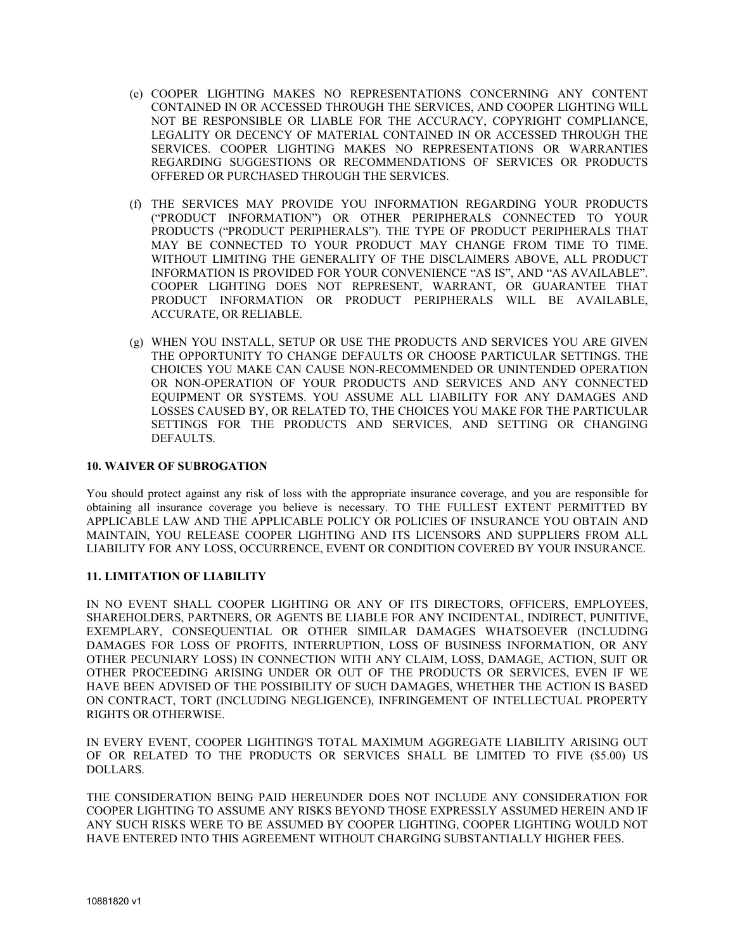- (e) COOPER LIGHTING MAKES NO REPRESENTATIONS CONCERNING ANY CONTENT CONTAINED IN OR ACCESSED THROUGH THE SERVICES, AND COOPER LIGHTING WILL NOT BE RESPONSIBLE OR LIABLE FOR THE ACCURACY, COPYRIGHT COMPLIANCE, LEGALITY OR DECENCY OF MATERIAL CONTAINED IN OR ACCESSED THROUGH THE SERVICES. COOPER LIGHTING MAKES NO REPRESENTATIONS OR WARRANTIES REGARDING SUGGESTIONS OR RECOMMENDATIONS OF SERVICES OR PRODUCTS OFFERED OR PURCHASED THROUGH THE SERVICES.
- (f) THE SERVICES MAY PROVIDE YOU INFORMATION REGARDING YOUR PRODUCTS ("PRODUCT INFORMATION") OR OTHER PERIPHERALS CONNECTED TO YOUR PRODUCTS ("PRODUCT PERIPHERALS"). THE TYPE OF PRODUCT PERIPHERALS THAT MAY BE CONNECTED TO YOUR PRODUCT MAY CHANGE FROM TIME TO TIME. WITHOUT LIMITING THE GENERALITY OF THE DISCLAIMERS ABOVE, ALL PRODUCT INFORMATION IS PROVIDED FOR YOUR CONVENIENCE "AS IS", AND "AS AVAILABLE". COOPER LIGHTING DOES NOT REPRESENT, WARRANT, OR GUARANTEE THAT PRODUCT INFORMATION OR PRODUCT PERIPHERALS WILL BE AVAILABLE, ACCURATE, OR RELIABLE.
- (g) WHEN YOU INSTALL, SETUP OR USE THE PRODUCTS AND SERVICES YOU ARE GIVEN THE OPPORTUNITY TO CHANGE DEFAULTS OR CHOOSE PARTICULAR SETTINGS. THE CHOICES YOU MAKE CAN CAUSE NON-RECOMMENDED OR UNINTENDED OPERATION OR NON-OPERATION OF YOUR PRODUCTS AND SERVICES AND ANY CONNECTED EQUIPMENT OR SYSTEMS. YOU ASSUME ALL LIABILITY FOR ANY DAMAGES AND LOSSES CAUSED BY, OR RELATED TO, THE CHOICES YOU MAKE FOR THE PARTICULAR SETTINGS FOR THE PRODUCTS AND SERVICES, AND SETTING OR CHANGING DEFAULTS.

### **10. WAIVER OF SUBROGATION**

You should protect against any risk of loss with the appropriate insurance coverage, and you are responsible for obtaining all insurance coverage you believe is necessary. TO THE FULLEST EXTENT PERMITTED BY APPLICABLE LAW AND THE APPLICABLE POLICY OR POLICIES OF INSURANCE YOU OBTAIN AND MAINTAIN, YOU RELEASE COOPER LIGHTING AND ITS LICENSORS AND SUPPLIERS FROM ALL LIABILITY FOR ANY LOSS, OCCURRENCE, EVENT OR CONDITION COVERED BY YOUR INSURANCE.

## **11. LIMITATION OF LIABILITY**

IN NO EVENT SHALL COOPER LIGHTING OR ANY OF ITS DIRECTORS, OFFICERS, EMPLOYEES, SHAREHOLDERS, PARTNERS, OR AGENTS BE LIABLE FOR ANY INCIDENTAL, INDIRECT, PUNITIVE, EXEMPLARY, CONSEQUENTIAL OR OTHER SIMILAR DAMAGES WHATSOEVER (INCLUDING DAMAGES FOR LOSS OF PROFITS, INTERRUPTION, LOSS OF BUSINESS INFORMATION, OR ANY OTHER PECUNIARY LOSS) IN CONNECTION WITH ANY CLAIM, LOSS, DAMAGE, ACTION, SUIT OR OTHER PROCEEDING ARISING UNDER OR OUT OF THE PRODUCTS OR SERVICES, EVEN IF WE HAVE BEEN ADVISED OF THE POSSIBILITY OF SUCH DAMAGES, WHETHER THE ACTION IS BASED ON CONTRACT, TORT (INCLUDING NEGLIGENCE), INFRINGEMENT OF INTELLECTUAL PROPERTY RIGHTS OR OTHERWISE.

IN EVERY EVENT, COOPER LIGHTING'S TOTAL MAXIMUM AGGREGATE LIABILITY ARISING OUT OF OR RELATED TO THE PRODUCTS OR SERVICES SHALL BE LIMITED TO FIVE (\$5.00) US DOLLARS.

THE CONSIDERATION BEING PAID HEREUNDER DOES NOT INCLUDE ANY CONSIDERATION FOR COOPER LIGHTING TO ASSUME ANY RISKS BEYOND THOSE EXPRESSLY ASSUMED HEREIN AND IF ANY SUCH RISKS WERE TO BE ASSUMED BY COOPER LIGHTING, COOPER LIGHTING WOULD NOT HAVE ENTERED INTO THIS AGREEMENT WITHOUT CHARGING SUBSTANTIALLY HIGHER FEES.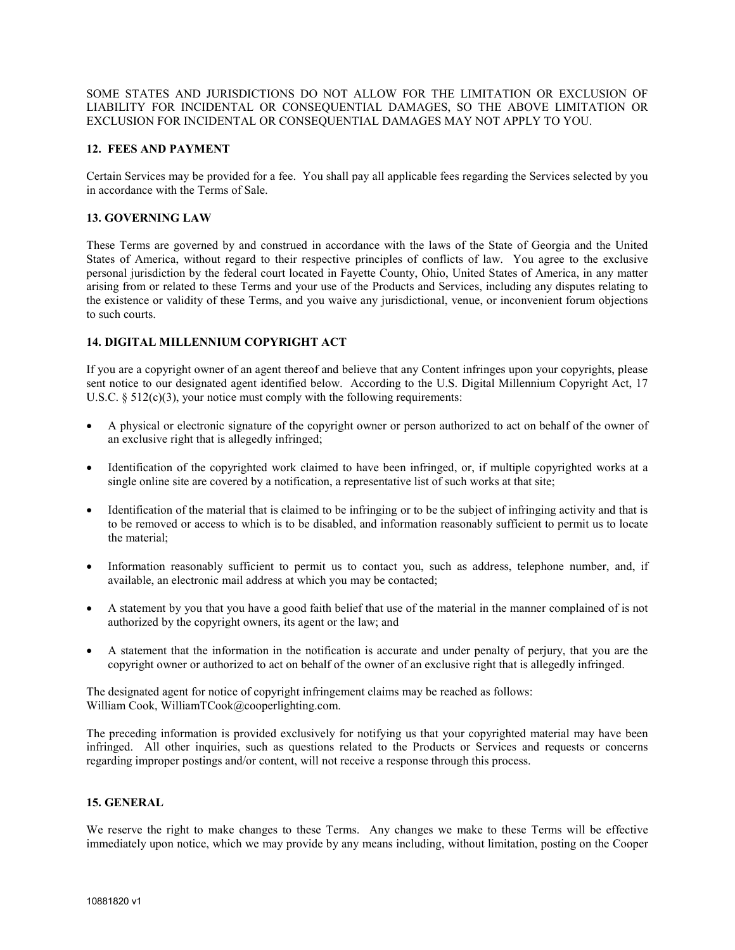SOME STATES AND JURISDICTIONS DO NOT ALLOW FOR THE LIMITATION OR EXCLUSION OF LIABILITY FOR INCIDENTAL OR CONSEQUENTIAL DAMAGES, SO THE ABOVE LIMITATION OR EXCLUSION FOR INCIDENTAL OR CONSEQUENTIAL DAMAGES MAY NOT APPLY TO YOU.

## **12. FEES AND PAYMENT**

Certain Services may be provided for a fee. You shall pay all applicable fees regarding the Services selected by you in accordance with the Terms of Sale.

# **13. GOVERNING LAW**

These Terms are governed by and construed in accordance with the laws of the State of Georgia and the United States of America, without regard to their respective principles of conflicts of law. You agree to the exclusive personal jurisdiction by the federal court located in Fayette County, Ohio, United States of America, in any matter arising from or related to these Terms and your use of the Products and Services, including any disputes relating to the existence or validity of these Terms, and you waive any jurisdictional, venue, or inconvenient forum objections to such courts.

#### **14. DIGITAL MILLENNIUM COPYRIGHT ACT**

If you are a copyright owner of an agent thereof and believe that any Content infringes upon your copyrights, please sent notice to our designated agent identified below. According to the U.S. Digital Millennium Copyright Act, 17 U.S.C.  $\S 512(c)(3)$ , your notice must comply with the following requirements:

- A physical or electronic signature of the copyright owner or person authorized to act on behalf of the owner of an exclusive right that is allegedly infringed;
- Identification of the copyrighted work claimed to have been infringed, or, if multiple copyrighted works at a single online site are covered by a notification, a representative list of such works at that site;
- Identification of the material that is claimed to be infringing or to be the subject of infringing activity and that is to be removed or access to which is to be disabled, and information reasonably sufficient to permit us to locate the material;
- Information reasonably sufficient to permit us to contact you, such as address, telephone number, and, if available, an electronic mail address at which you may be contacted;
- A statement by you that you have a good faith belief that use of the material in the manner complained of is not authorized by the copyright owners, its agent or the law; and
- A statement that the information in the notification is accurate and under penalty of perjury, that you are the copyright owner or authorized to act on behalf of the owner of an exclusive right that is allegedly infringed.

The designated agent for notice of copyright infringement claims may be reached as follows: William Cook, WilliamTCook@cooperlighting.com.

The preceding information is provided exclusively for notifying us that your copyrighted material may have been infringed. All other inquiries, such as questions related to the Products or Services and requests or concerns regarding improper postings and/or content, will not receive a response through this process.

#### **15. GENERAL**

We reserve the right to make changes to these Terms. Any changes we make to these Terms will be effective immediately upon notice, which we may provide by any means including, without limitation, posting on the Cooper